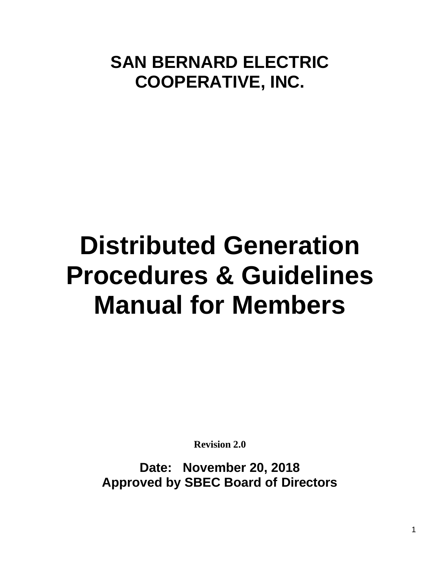# **SAN BERNARD ELECTRIC COOPERATIVE, INC.**

# **Distributed Generation Procedures & Guidelines Manual for Members**

**Revision 2.0**

**Date: November 20, 2018 Approved by SBEC Board of Directors**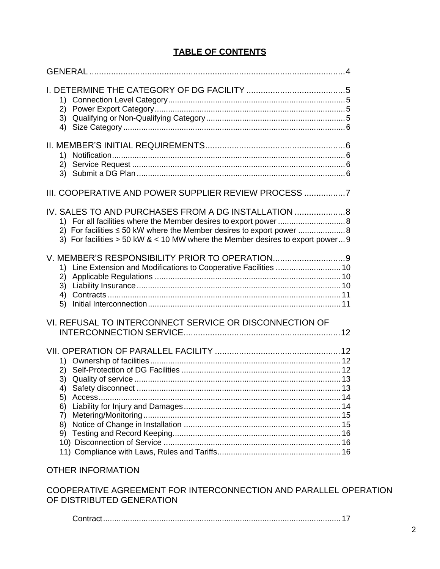# **TABLE OF CONTENTS**

| III. COOPERATIVE AND POWER SUPPLIER REVIEW PROCESS                                                                                                                                                         |
|------------------------------------------------------------------------------------------------------------------------------------------------------------------------------------------------------------|
| IV. SALES TO AND PURCHASES FROM A DG INSTALLATION<br>1) For all facilities where the Member desires to export power  8<br>3) For facilities $> 50$ kW & < 10 MW where the Member desires to export power 9 |
| 1) Line Extension and Modifications to Cooperative Facilities  10<br>2)<br>5)                                                                                                                              |
| VI. REFUSAL TO INTERCONNECT SERVICE OR DISCONNECTION OF                                                                                                                                                    |
| 5)<br>6)<br>7)<br>8)                                                                                                                                                                                       |

# OTHER INFORMATION

COOPERATIVE AGREEMENT FOR INTERCONNECTION AND PARALLEL OPERATION OF DISTRIBUTED GENERATION

Contract..........................................................................................................17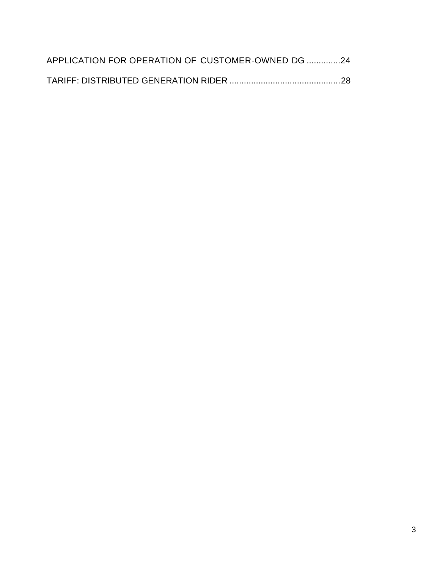| APPLICATION FOR OPERATION OF CUSTOMER-OWNED DG 24 |  |
|---------------------------------------------------|--|
|                                                   |  |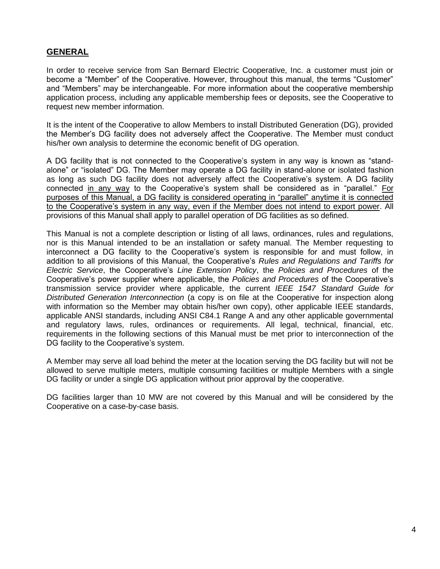# **GENERAL**

In order to receive service from San Bernard Electric Cooperative, Inc. a customer must join or become a "Member" of the Cooperative. However, throughout this manual, the terms "Customer" and "Members" may be interchangeable. For more information about the cooperative membership application process, including any applicable membership fees or deposits, see the Cooperative to request new member information.

It is the intent of the Cooperative to allow Members to install Distributed Generation (DG), provided the Member's DG facility does not adversely affect the Cooperative. The Member must conduct his/her own analysis to determine the economic benefit of DG operation.

A DG facility that is not connected to the Cooperative's system in any way is known as "standalone" or "isolated" DG. The Member may operate a DG facility in stand-alone or isolated fashion as long as such DG facility does not adversely affect the Cooperative's system. A DG facility connected in any way to the Cooperative's system shall be considered as in "parallel." For purposes of this Manual, a DG facility is considered operating in "parallel" anytime it is connected to the Cooperative's system in any way, even if the Member does not intend to export power. All provisions of this Manual shall apply to parallel operation of DG facilities as so defined.

This Manual is not a complete description or listing of all laws, ordinances, rules and regulations, nor is this Manual intended to be an installation or safety manual. The Member requesting to interconnect a DG facility to the Cooperative's system is responsible for and must follow, in addition to all provisions of this Manual, the Cooperative's *Rules and Regulations and Tariffs for Electric Service*, the Cooperative's *Line Extension Policy*, the *Policies and Procedures* of the Cooperative's power supplier where applicable, the *Policies and Procedures* of the Cooperative's transmission service provider where applicable, the current *IEEE 1547 Standard Guide for Distributed Generation Interconnection* (a copy is on file at the Cooperative for inspection along with information so the Member may obtain his/her own copy), other applicable IEEE standards, applicable ANSI standards, including ANSI C84.1 Range A and any other applicable governmental and regulatory laws, rules, ordinances or requirements. All legal, technical, financial, etc. requirements in the following sections of this Manual must be met prior to interconnection of the DG facility to the Cooperative's system.

A Member may serve all load behind the meter at the location serving the DG facility but will not be allowed to serve multiple meters, multiple consuming facilities or multiple Members with a single DG facility or under a single DG application without prior approval by the cooperative.

DG facilities larger than 10 MW are not covered by this Manual and will be considered by the Cooperative on a case-by-case basis.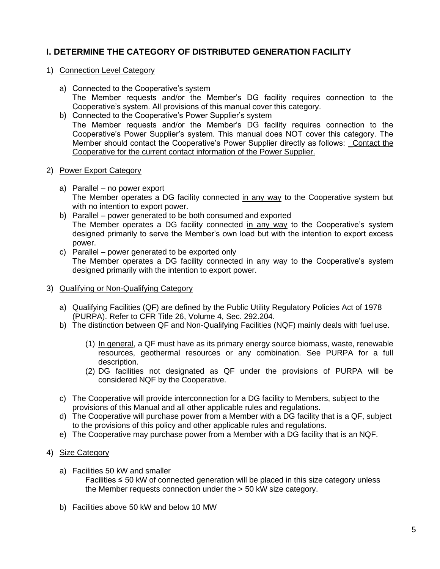# **I. DETERMINE THE CATEGORY OF DISTRIBUTED GENERATION FACILITY**

# 1) Connection Level Category

- a) Connected to the Cooperative's system The Member requests and/or the Member's DG facility requires connection to the Cooperative's system. All provisions of this manual cover this category.
- b) Connected to the Cooperative's Power Supplier's system The Member requests and/or the Member's DG facility requires connection to the Cooperative's Power Supplier's system. This manual does NOT cover this category. The Member should contact the Cooperative's Power Supplier directly as follows: \_Contact the Cooperative for the current contact information of the Power Supplier.
- 2) Power Export Category
	- a) Parallel no power export The Member operates a DG facility connected in any way to the Cooperative system but with no intention to export power.
	- b) Parallel power generated to be both consumed and exported The Member operates a DG facility connected in any way to the Cooperative's system designed primarily to serve the Member's own load but with the intention to export excess power.
	- c) Parallel power generated to be exported only The Member operates a DG facility connected in any way to the Cooperative's system designed primarily with the intention to export power.

# 3) Qualifying or Non-Qualifying Category

- a) Qualifying Facilities (QF) are defined by the Public Utility Regulatory Policies Act of 1978 (PURPA). Refer to CFR Title 26, Volume 4, Sec. 292.204.
- b) The distinction between QF and Non-Qualifying Facilities (NQF) mainly deals with fuel use.
	- (1) In general, a QF must have as its primary energy source biomass, waste, renewable resources, geothermal resources or any combination. See PURPA for a full description.
	- (2) DG facilities not designated as QF under the provisions of PURPA will be considered NQF by the Cooperative.
- c) The Cooperative will provide interconnection for a DG facility to Members, subject to the provisions of this Manual and all other applicable rules and regulations.
- d) The Cooperative will purchase power from a Member with a DG facility that is a QF, subject to the provisions of this policy and other applicable rules and regulations.
- e) The Cooperative may purchase power from a Member with a DG facility that is an NQF.

# 4) Size Category

- a) Facilities 50 kW and smaller Facilities ≤ 50 kW of connected generation will be placed in this size category unless the Member requests connection under the > 50 kW size category.
- b) Facilities above 50 kW and below 10 MW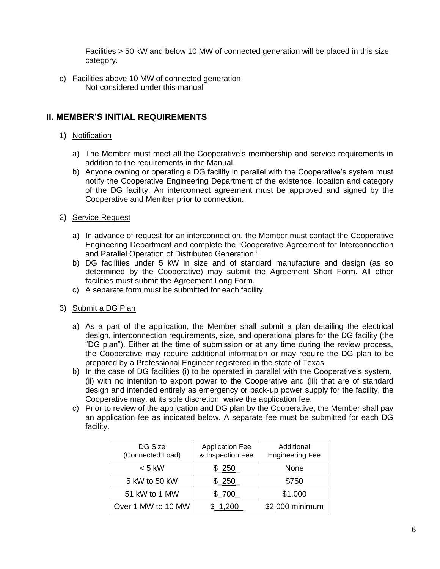Facilities > 50 kW and below 10 MW of connected generation will be placed in this size category.

c) Facilities above 10 MW of connected generation Not considered under this manual

# **II. MEMBER'S INITIAL REQUIREMENTS**

# 1) Notification

- a) The Member must meet all the Cooperative's membership and service requirements in addition to the requirements in the Manual.
- b) Anyone owning or operating a DG facility in parallel with the Cooperative's system must notify the Cooperative Engineering Department of the existence, location and category of the DG facility. An interconnect agreement must be approved and signed by the Cooperative and Member prior to connection.
- 2) Service Request
	- a) In advance of request for an interconnection, the Member must contact the Cooperative Engineering Department and complete the "Cooperative Agreement for Interconnection and Parallel Operation of Distributed Generation."
	- b) DG facilities under 5 kW in size and of standard manufacture and design (as so determined by the Cooperative) may submit the Agreement Short Form. All other facilities must submit the Agreement Long Form.
	- c) A separate form must be submitted for each facility.
- 3) Submit a DG Plan
	- a) As a part of the application, the Member shall submit a plan detailing the electrical design, interconnection requirements, size, and operational plans for the DG facility (the "DG plan"). Either at the time of submission or at any time during the review process, the Cooperative may require additional information or may require the DG plan to be prepared by a Professional Engineer registered in the state of Texas.
	- b) In the case of DG facilities (i) to be operated in parallel with the Cooperative's system, (ii) with no intention to export power to the Cooperative and (iii) that are of standard design and intended entirely as emergency or back-up power supply for the facility, the Cooperative may, at its sole discretion, waive the application fee.
	- c) Prior to review of the application and DG plan by the Cooperative, the Member shall pay an application fee as indicated below. A separate fee must be submitted for each DG facility.

| DG Size<br>(Connected Load) | <b>Application Fee</b><br>& Inspection Fee | Additional<br><b>Engineering Fee</b> |
|-----------------------------|--------------------------------------------|--------------------------------------|
| $< 5$ kW                    | \$250                                      | None                                 |
| 5 kW to 50 kW               | \$250                                      | \$750                                |
| 51 kW to 1 MW               | \$700                                      | \$1,000                              |
| Over 1 MW to 10 MW          | 1.200                                      | \$2,000 minimum                      |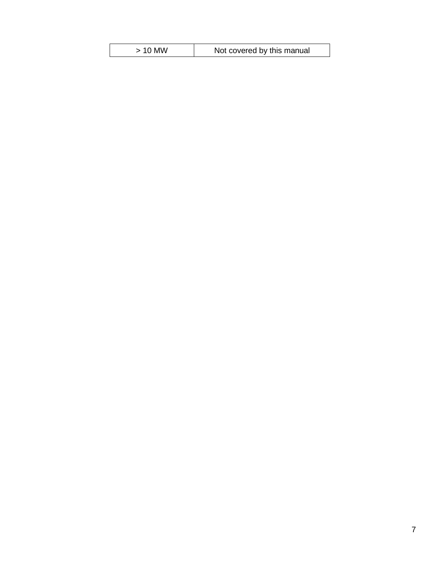| $>$ 10 MW | Not covered by this manual |
|-----------|----------------------------|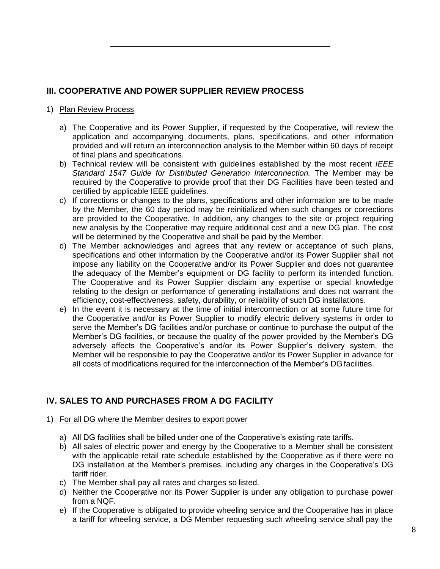# **III. COOPERATIVE AND POWER SUPPLIER REVIEW PROCESS**

# 1) Plan Review Process

- a) The Cooperative and its Power Supplier, if requested by the Cooperative, will review the application and accompanying documents, plans, specifications, and other information provided and will return an interconnection analysis to the Member within 60 days of receipt of final plans and specifications.
- b) Technical review will be consistent with guidelines established by the most recent *IEEE Standard 1547 Guide for Distributed Generation Interconnection.* The Member may be required by the Cooperative to provide proof that their DG Facilities have been tested and certified by applicable IEEE guidelines.
- c) If corrections or changes to the plans, specifications and other information are to be made by the Member, the 60 day period may be reinitialized when such changes or corrections are provided to the Cooperative. In addition, any changes to the site or project requiring new analysis by the Cooperative may require additional cost and a new DG plan. The cost will be determined by the Cooperative and shall be paid by the Member.
- d) The Member acknowledges and agrees that any review or acceptance of such plans, specifications and other information by the Cooperative and/or its Power Supplier shall not impose any liability on the Cooperative and/or its Power Supplier and does not guarantee the adequacy of the Member's equipment or DG facility to perform its intended function. The Cooperative and its Power Supplier disclaim any expertise or special knowledge relating to the design or performance of generating installations and does not warrant the efficiency, cost-effectiveness, safety, durability, or reliability of such DG installations.
- e) In the event it is necessary at the time of initial interconnection or at some future time for the Cooperative and/or its Power Supplier to modify electric delivery systems in order to serve the Member's DG facilities and/or purchase or continue to purchase the output of the Member's DG facilities, or because the quality of the power provided by the Member's DG adversely affects the Cooperative's and/or its Power Supplier's delivery system, the Member will be responsible to pay the Cooperative and/or its Power Supplier in advance for all costs of modifications required for the interconnection of the Member's DG facilities.

# **IV. SALES TO AND PURCHASES FROM A DG FACILITY**

- 1) For all DG where the Member desires to export power
	- a) All DG facilities shall be billed under one of the Cooperative's existing rate tariffs.
	- b) All sales of electric power and energy by the Cooperative to a Member shall be consistent with the applicable retail rate schedule established by the Cooperative as if there were no DG installation at the Member's premises, including any charges in the Cooperative's DG tariff rider.
	- c) The Member shall pay all rates and charges so listed.
	- d) Neither the Cooperative nor its Power Supplier is under any obligation to purchase power from a NQF.
	- e) If the Cooperative is obligated to provide wheeling service and the Cooperative has in place a tariff for wheeling service, a DG Member requesting such wheeling service shall pay the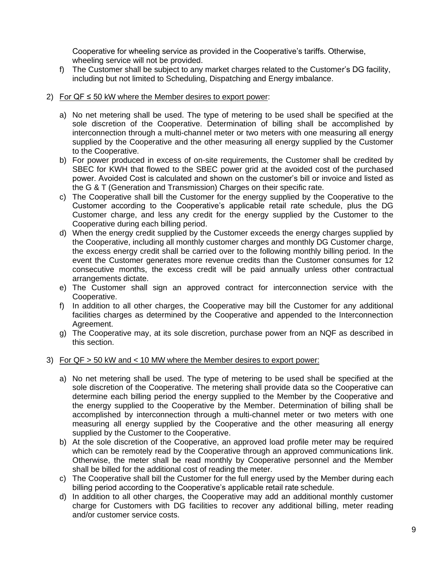Cooperative for wheeling service as provided in the Cooperative's tariffs. Otherwise, wheeling service will not be provided.

f) The Customer shall be subject to any market charges related to the Customer's DG facility, including but not limited to Scheduling, Dispatching and Energy imbalance.

# 2) For  $QF \le 50$  kW where the Member desires to export power:

- a) No net metering shall be used. The type of metering to be used shall be specified at the sole discretion of the Cooperative. Determination of billing shall be accomplished by interconnection through a multi-channel meter or two meters with one measuring all energy supplied by the Cooperative and the other measuring all energy supplied by the Customer to the Cooperative.
- b) For power produced in excess of on-site requirements, the Customer shall be credited by SBEC for KWH that flowed to the SBEC power grid at the avoided cost of the purchased power. Avoided Cost is calculated and shown on the customer's bill or invoice and listed as the G & T (Generation and Transmission) Charges on their specific rate.
- c) The Cooperative shall bill the Customer for the energy supplied by the Cooperative to the Customer according to the Cooperative's applicable retail rate schedule, plus the DG Customer charge, and less any credit for the energy supplied by the Customer to the Cooperative during each billing period.
- d) When the energy credit supplied by the Customer exceeds the energy charges supplied by the Cooperative, including all monthly customer charges and monthly DG Customer charge, the excess energy credit shall be carried over to the following monthly billing period. In the event the Customer generates more revenue credits than the Customer consumes for 12 consecutive months, the excess credit will be paid annually unless other contractual arrangements dictate.
- e) The Customer shall sign an approved contract for interconnection service with the Cooperative.
- f) In addition to all other charges, the Cooperative may bill the Customer for any additional facilities charges as determined by the Cooperative and appended to the Interconnection Agreement.
- g) The Cooperative may, at its sole discretion, purchase power from an NQF as described in this section.

# 3) For QF > 50 kW and < 10 MW where the Member desires to export power:

- a) No net metering shall be used. The type of metering to be used shall be specified at the sole discretion of the Cooperative. The metering shall provide data so the Cooperative can determine each billing period the energy supplied to the Member by the Cooperative and the energy supplied to the Cooperative by the Member. Determination of billing shall be accomplished by interconnection through a multi-channel meter or two meters with one measuring all energy supplied by the Cooperative and the other measuring all energy supplied by the Customer to the Cooperative.
- b) At the sole discretion of the Cooperative, an approved load profile meter may be required which can be remotely read by the Cooperative through an approved communications link. Otherwise, the meter shall be read monthly by Cooperative personnel and the Member shall be billed for the additional cost of reading the meter.
- c) The Cooperative shall bill the Customer for the full energy used by the Member during each billing period according to the Cooperative's applicable retail rate schedule.
- d) In addition to all other charges, the Cooperative may add an additional monthly customer charge for Customers with DG facilities to recover any additional billing, meter reading and/or customer service costs.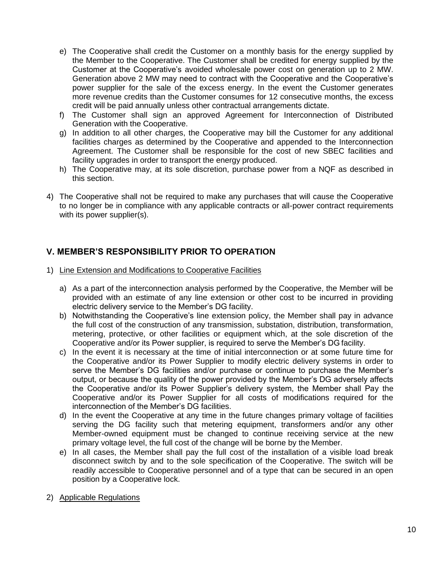- e) The Cooperative shall credit the Customer on a monthly basis for the energy supplied by the Member to the Cooperative. The Customer shall be credited for energy supplied by the Customer at the Cooperative's avoided wholesale power cost on generation up to 2 MW. Generation above 2 MW may need to contract with the Cooperative and the Cooperative's power supplier for the sale of the excess energy. In the event the Customer generates more revenue credits than the Customer consumes for 12 consecutive months, the excess credit will be paid annually unless other contractual arrangements dictate.
- f) The Customer shall sign an approved Agreement for Interconnection of Distributed Generation with the Cooperative.
- g) In addition to all other charges, the Cooperative may bill the Customer for any additional facilities charges as determined by the Cooperative and appended to the Interconnection Agreement. The Customer shall be responsible for the cost of new SBEC facilities and facility upgrades in order to transport the energy produced.
- h) The Cooperative may, at its sole discretion, purchase power from a NQF as described in this section.
- 4) The Cooperative shall not be required to make any purchases that will cause the Cooperative to no longer be in compliance with any applicable contracts or all-power contract requirements with its power supplier(s).

# **V. MEMBER'S RESPONSIBILITY PRIOR TO OPERATION**

- 1) Line Extension and Modifications to Cooperative Facilities
	- a) As a part of the interconnection analysis performed by the Cooperative, the Member will be provided with an estimate of any line extension or other cost to be incurred in providing electric delivery service to the Member's DG facility.
	- b) Notwithstanding the Cooperative's line extension policy, the Member shall pay in advance the full cost of the construction of any transmission, substation, distribution, transformation, metering, protective, or other facilities or equipment which, at the sole discretion of the Cooperative and/or its Power supplier, is required to serve the Member's DG facility.
	- c) In the event it is necessary at the time of initial interconnection or at some future time for the Cooperative and/or its Power Supplier to modify electric delivery systems in order to serve the Member's DG facilities and/or purchase or continue to purchase the Member's output, or because the quality of the power provided by the Member's DG adversely affects the Cooperative and/or its Power Supplier's delivery system, the Member shall Pay the Cooperative and/or its Power Supplier for all costs of modifications required for the interconnection of the Member's DG facilities.
	- d) In the event the Cooperative at any time in the future changes primary voltage of facilities serving the DG facility such that metering equipment, transformers and/or any other Member-owned equipment must be changed to continue receiving service at the new primary voltage level, the full cost of the change will be borne by the Member.
	- e) In all cases, the Member shall pay the full cost of the installation of a visible load break disconnect switch by and to the sole specification of the Cooperative. The switch will be readily accessible to Cooperative personnel and of a type that can be secured in an open position by a Cooperative lock.
- 2) Applicable Regulations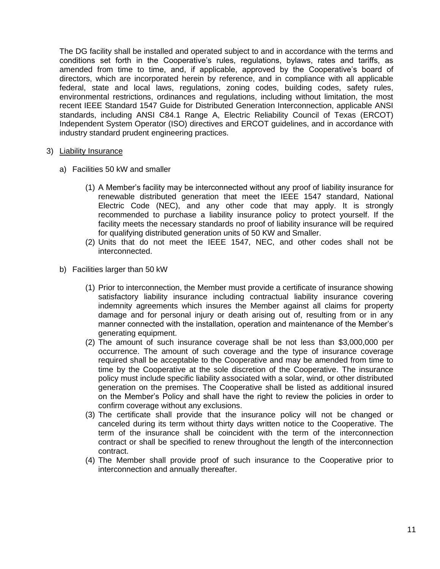The DG facility shall be installed and operated subject to and in accordance with the terms and conditions set forth in the Cooperative's rules, regulations, bylaws, rates and tariffs, as amended from time to time, and, if applicable, approved by the Cooperative's board of directors, which are incorporated herein by reference, and in compliance with all applicable federal, state and local laws, regulations, zoning codes, building codes, safety rules, environmental restrictions, ordinances and regulations, including without limitation, the most recent IEEE Standard 1547 Guide for Distributed Generation Interconnection, applicable ANSI standards, including ANSI C84.1 Range A, Electric Reliability Council of Texas (ERCOT) Independent System Operator (ISO) directives and ERCOT guidelines, and in accordance with industry standard prudent engineering practices.

#### 3) Liability Insurance

- a) Facilities 50 kW and smaller
	- (1) A Member's facility may be interconnected without any proof of liability insurance for renewable distributed generation that meet the IEEE 1547 standard, National Electric Code (NEC), and any other code that may apply. It is strongly recommended to purchase a liability insurance policy to protect yourself. If the facility meets the necessary standards no proof of liability insurance will be required for qualifying distributed generation units of 50 KW and Smaller.
	- (2) Units that do not meet the IEEE 1547, NEC, and other codes shall not be interconnected.
- b) Facilities larger than 50 kW
	- (1) Prior to interconnection, the Member must provide a certificate of insurance showing satisfactory liability insurance including contractual liability insurance covering indemnity agreements which insures the Member against all claims for property damage and for personal injury or death arising out of, resulting from or in any manner connected with the installation, operation and maintenance of the Member's generating equipment.
	- (2) The amount of such insurance coverage shall be not less than \$3,000,000 per occurrence. The amount of such coverage and the type of insurance coverage required shall be acceptable to the Cooperative and may be amended from time to time by the Cooperative at the sole discretion of the Cooperative. The insurance policy must include specific liability associated with a solar, wind, or other distributed generation on the premises. The Cooperative shall be listed as additional insured on the Member's Policy and shall have the right to review the policies in order to confirm coverage without any exclusions.
	- (3) The certificate shall provide that the insurance policy will not be changed or canceled during its term without thirty days written notice to the Cooperative. The term of the insurance shall be coincident with the term of the interconnection contract or shall be specified to renew throughout the length of the interconnection contract.
	- (4) The Member shall provide proof of such insurance to the Cooperative prior to interconnection and annually thereafter.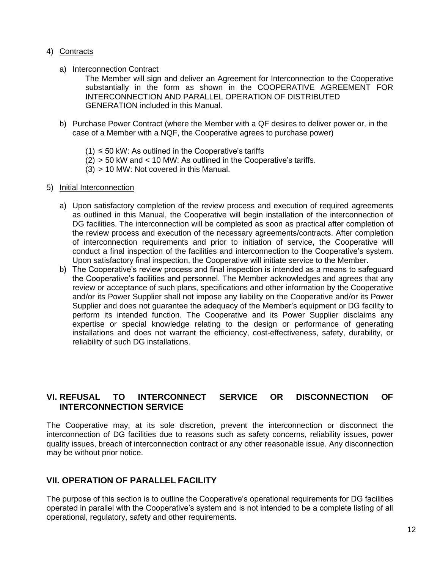# 4) Contracts

a) Interconnection Contract

The Member will sign and deliver an Agreement for Interconnection to the Cooperative substantially in the form as shown in the COOPERATIVE AGREEMENT FOR INTERCONNECTION AND PARALLEL OPERATION OF DISTRIBUTED GENERATION included in this Manual.

- b) Purchase Power Contract (where the Member with a QF desires to deliver power or, in the case of a Member with a NQF, the Cooperative agrees to purchase power)
	- $(1) \leq 50$  kW: As outlined in the Cooperative's tariffs
	- (2) > 50 kW and < 10 MW: As outlined in the Cooperative's tariffs.
	- (3) > 10 MW: Not covered in this Manual.

#### 5) Initial Interconnection

- a) Upon satisfactory completion of the review process and execution of required agreements as outlined in this Manual, the Cooperative will begin installation of the interconnection of DG facilities. The interconnection will be completed as soon as practical after completion of the review process and execution of the necessary agreements/contracts. After completion of interconnection requirements and prior to initiation of service, the Cooperative will conduct a final inspection of the facilities and interconnection to the Cooperative's system. Upon satisfactory final inspection, the Cooperative will initiate service to the Member.
- b) The Cooperative's review process and final inspection is intended as a means to safeguard the Cooperative's facilities and personnel. The Member acknowledges and agrees that any review or acceptance of such plans, specifications and other information by the Cooperative and/or its Power Supplier shall not impose any liability on the Cooperative and/or its Power Supplier and does not guarantee the adequacy of the Member's equipment or DG facility to perform its intended function. The Cooperative and its Power Supplier disclaims any expertise or special knowledge relating to the design or performance of generating installations and does not warrant the efficiency, cost-effectiveness, safety, durability, or reliability of such DG installations.

# **VI. REFUSAL TO INTERCONNECT SERVICE OR DISCONNECTION OF INTERCONNECTION SERVICE**

The Cooperative may, at its sole discretion, prevent the interconnection or disconnect the interconnection of DG facilities due to reasons such as safety concerns, reliability issues, power quality issues, breach of interconnection contract or any other reasonable issue. Any disconnection may be without prior notice.

# **VII. OPERATION OF PARALLEL FACILITY**

The purpose of this section is to outline the Cooperative's operational requirements for DG facilities operated in parallel with the Cooperative's system and is not intended to be a complete listing of all operational, regulatory, safety and other requirements.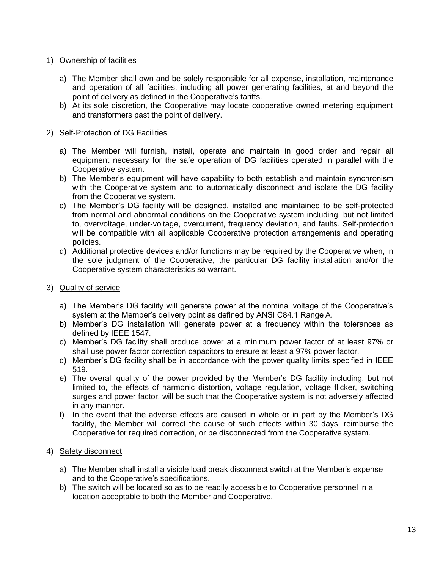# 1) Ownership of facilities

- a) The Member shall own and be solely responsible for all expense, installation, maintenance and operation of all facilities, including all power generating facilities, at and beyond the point of delivery as defined in the Cooperative's tariffs.
- b) At its sole discretion, the Cooperative may locate cooperative owned metering equipment and transformers past the point of delivery.

# 2) Self-Protection of DG Facilities

- a) The Member will furnish, install, operate and maintain in good order and repair all equipment necessary for the safe operation of DG facilities operated in parallel with the Cooperative system.
- b) The Member's equipment will have capability to both establish and maintain synchronism with the Cooperative system and to automatically disconnect and isolate the DG facility from the Cooperative system.
- c) The Member's DG facility will be designed, installed and maintained to be self-protected from normal and abnormal conditions on the Cooperative system including, but not limited to, overvoltage, under-voltage, overcurrent, frequency deviation, and faults. Self-protection will be compatible with all applicable Cooperative protection arrangements and operating policies.
- d) Additional protective devices and/or functions may be required by the Cooperative when, in the sole judgment of the Cooperative, the particular DG facility installation and/or the Cooperative system characteristics so warrant.
- 3) Quality of service
	- a) The Member's DG facility will generate power at the nominal voltage of the Cooperative's system at the Member's delivery point as defined by ANSI C84.1 Range A.
	- b) Member's DG installation will generate power at a frequency within the tolerances as defined by IEEE 1547.
	- c) Member's DG facility shall produce power at a minimum power factor of at least 97% or shall use power factor correction capacitors to ensure at least a 97% power factor.
	- d) Member's DG facility shall be in accordance with the power quality limits specified in IEEE 519.
	- e) The overall quality of the power provided by the Member's DG facility including, but not limited to, the effects of harmonic distortion, voltage regulation, voltage flicker, switching surges and power factor, will be such that the Cooperative system is not adversely affected in any manner.
	- f) In the event that the adverse effects are caused in whole or in part by the Member's DG facility, the Member will correct the cause of such effects within 30 days, reimburse the Cooperative for required correction, or be disconnected from the Cooperative system.

# 4) Safety disconnect

- a) The Member shall install a visible load break disconnect switch at the Member's expense and to the Cooperative's specifications.
- b) The switch will be located so as to be readily accessible to Cooperative personnel in a location acceptable to both the Member and Cooperative.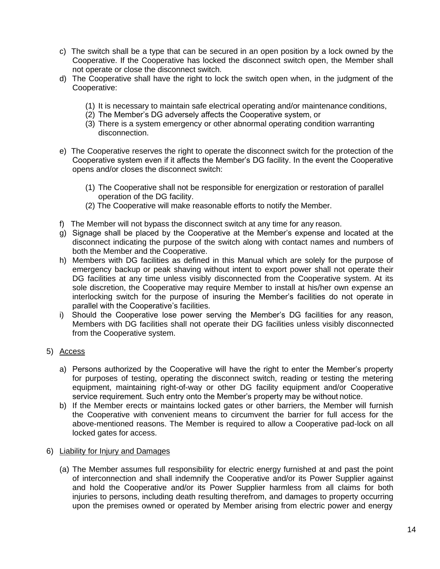- c) The switch shall be a type that can be secured in an open position by a lock owned by the Cooperative. If the Cooperative has locked the disconnect switch open, the Member shall not operate or close the disconnect switch.
- d) The Cooperative shall have the right to lock the switch open when, in the judgment of the Cooperative:
	- (1) It is necessary to maintain safe electrical operating and/or maintenance conditions,
	- (2) The Member's DG adversely affects the Cooperative system, or
	- (3) There is a system emergency or other abnormal operating condition warranting disconnection.
- e) The Cooperative reserves the right to operate the disconnect switch for the protection of the Cooperative system even if it affects the Member's DG facility. In the event the Cooperative opens and/or closes the disconnect switch:
	- (1) The Cooperative shall not be responsible for energization or restoration of parallel operation of the DG facility.
	- (2) The Cooperative will make reasonable efforts to notify the Member.
- f) The Member will not bypass the disconnect switch at any time for any reason.
- g) Signage shall be placed by the Cooperative at the Member's expense and located at the disconnect indicating the purpose of the switch along with contact names and numbers of both the Member and the Cooperative.
- h) Members with DG facilities as defined in this Manual which are solely for the purpose of emergency backup or peak shaving without intent to export power shall not operate their DG facilities at any time unless visibly disconnected from the Cooperative system. At its sole discretion, the Cooperative may require Member to install at his/her own expense an interlocking switch for the purpose of insuring the Member's facilities do not operate in parallel with the Cooperative's facilities.
- i) Should the Cooperative lose power serving the Member's DG facilities for any reason, Members with DG facilities shall not operate their DG facilities unless visibly disconnected from the Cooperative system.

# 5) Access

- a) Persons authorized by the Cooperative will have the right to enter the Member's property for purposes of testing, operating the disconnect switch, reading or testing the metering equipment, maintaining right-of-way or other DG facility equipment and/or Cooperative service requirement. Such entry onto the Member's property may be without notice.
- b) If the Member erects or maintains locked gates or other barriers, the Member will furnish the Cooperative with convenient means to circumvent the barrier for full access for the above-mentioned reasons. The Member is required to allow a Cooperative pad-lock on all locked gates for access.

# 6) Liability for Injury and Damages

(a) The Member assumes full responsibility for electric energy furnished at and past the point of interconnection and shall indemnify the Cooperative and/or its Power Supplier against and hold the Cooperative and/or its Power Supplier harmless from all claims for both injuries to persons, including death resulting therefrom, and damages to property occurring upon the premises owned or operated by Member arising from electric power and energy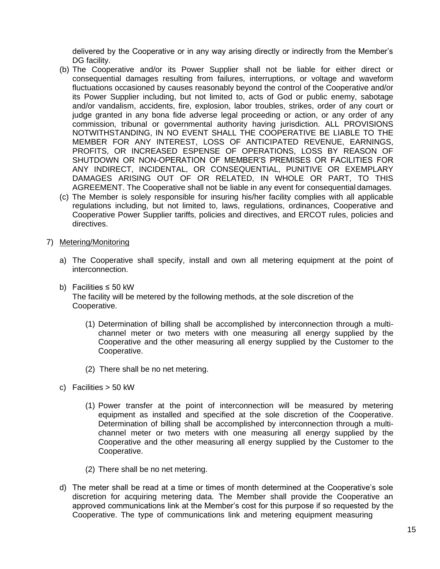delivered by the Cooperative or in any way arising directly or indirectly from the Member's DG facility.

- (b) The Cooperative and/or its Power Supplier shall not be liable for either direct or consequential damages resulting from failures, interruptions, or voltage and waveform fluctuations occasioned by causes reasonably beyond the control of the Cooperative and/or its Power Supplier including, but not limited to, acts of God or public enemy, sabotage and/or vandalism, accidents, fire, explosion, labor troubles, strikes, order of any court or judge granted in any bona fide adverse legal proceeding or action, or any order of any commission, tribunal or governmental authority having jurisdiction. ALL PROVISIONS NOTWITHSTANDING, IN NO EVENT SHALL THE COOPERATIVE BE LIABLE TO THE MEMBER FOR ANY INTEREST, LOSS OF ANTICIPATED REVENUE, EARNINGS, PROFITS, OR INCREASED ESPENSE OF OPERATIONS, LOSS BY REASON OF SHUTDOWN OR NON-OPERATION OF MEMBER'S PREMISES OR FACILITIES FOR ANY INDIRECT, INCIDENTAL, OR CONSEQUENTIAL, PUNITIVE OR EXEMPLARY DAMAGES ARISING OUT OF OR RELATED, IN WHOLE OR PART, TO THIS AGREEMENT. The Cooperative shall not be liable in any event for consequential damages.
- (c) The Member is solely responsible for insuring his/her facility complies with all applicable regulations including, but not limited to, laws, regulations, ordinances, Cooperative and Cooperative Power Supplier tariffs, policies and directives, and ERCOT rules, policies and directives.
- 7) Metering/Monitoring
	- a) The Cooperative shall specify, install and own all metering equipment at the point of interconnection.
	- b) Facilities ≤ 50 kW The facility will be metered by the following methods, at the sole discretion of the Cooperative.
		- (1) Determination of billing shall be accomplished by interconnection through a multichannel meter or two meters with one measuring all energy supplied by the Cooperative and the other measuring all energy supplied by the Customer to the Cooperative.
		- (2) There shall be no net metering.
	- c) Facilities > 50 kW
		- (1) Power transfer at the point of interconnection will be measured by metering equipment as installed and specified at the sole discretion of the Cooperative. Determination of billing shall be accomplished by interconnection through a multichannel meter or two meters with one measuring all energy supplied by the Cooperative and the other measuring all energy supplied by the Customer to the Cooperative.
		- (2) There shall be no net metering.
	- d) The meter shall be read at a time or times of month determined at the Cooperative's sole discretion for acquiring metering data. The Member shall provide the Cooperative an approved communications link at the Member's cost for this purpose if so requested by the Cooperative. The type of communications link and metering equipment measuring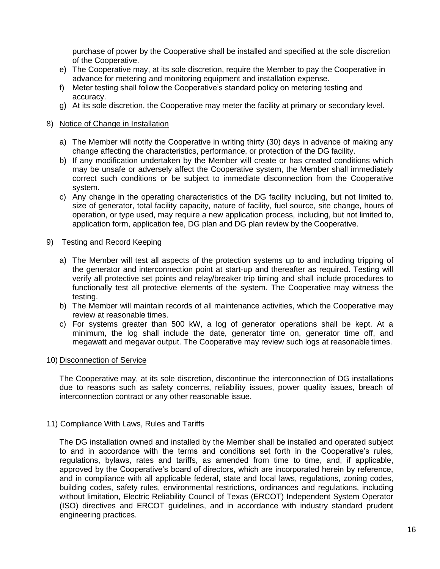purchase of power by the Cooperative shall be installed and specified at the sole discretion of the Cooperative.

- e) The Cooperative may, at its sole discretion, require the Member to pay the Cooperative in advance for metering and monitoring equipment and installation expense.
- f) Meter testing shall follow the Cooperative's standard policy on metering testing and accuracy.
- g) At its sole discretion, the Cooperative may meter the facility at primary or secondary level.

#### 8) Notice of Change in Installation

- a) The Member will notify the Cooperative in writing thirty (30) days in advance of making any change affecting the characteristics, performance, or protection of the DG facility.
- b) If any modification undertaken by the Member will create or has created conditions which may be unsafe or adversely affect the Cooperative system, the Member shall immediately correct such conditions or be subject to immediate disconnection from the Cooperative system.
- c) Any change in the operating characteristics of the DG facility including, but not limited to, size of generator, total facility capacity, nature of facility, fuel source, site change, hours of operation, or type used, may require a new application process, including, but not limited to, application form, application fee, DG plan and DG plan review by the Cooperative.

#### 9) Testing and Record Keeping

- a) The Member will test all aspects of the protection systems up to and including tripping of the generator and interconnection point at start-up and thereafter as required. Testing will verify all protective set points and relay/breaker trip timing and shall include procedures to functionally test all protective elements of the system. The Cooperative may witness the testing.
- b) The Member will maintain records of all maintenance activities, which the Cooperative may review at reasonable times.
- c) For systems greater than 500 kW, a log of generator operations shall be kept. At a minimum, the log shall include the date, generator time on, generator time off, and megawatt and megavar output. The Cooperative may review such logs at reasonable times.

# 10) Disconnection of Service

The Cooperative may, at its sole discretion, discontinue the interconnection of DG installations due to reasons such as safety concerns, reliability issues, power quality issues, breach of interconnection contract or any other reasonable issue.

#### 11) Compliance With Laws, Rules and Tariffs

The DG installation owned and installed by the Member shall be installed and operated subject to and in accordance with the terms and conditions set forth in the Cooperative's rules, regulations, bylaws, rates and tariffs, as amended from time to time, and, if applicable, approved by the Cooperative's board of directors, which are incorporated herein by reference, and in compliance with all applicable federal, state and local laws, regulations, zoning codes, building codes, safety rules, environmental restrictions, ordinances and regulations, including without limitation, Electric Reliability Council of Texas (ERCOT) Independent System Operator (ISO) directives and ERCOT guidelines, and in accordance with industry standard prudent engineering practices.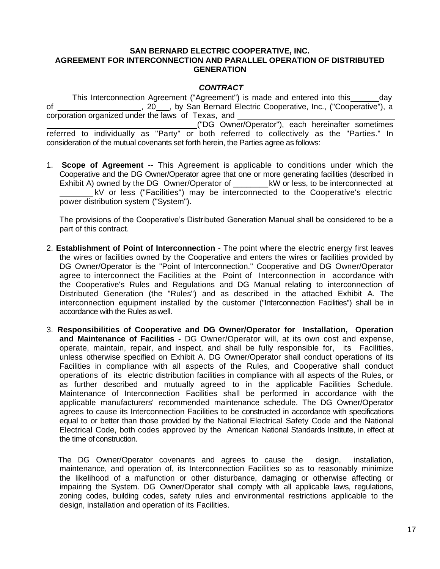#### **SAN BERNARD ELECTRIC COOPERATIVE, INC. AGREEMENT FOR INTERCONNECTION AND PARALLEL OPERATION OF DISTRIBUTED GENERATION**

# *CONTRACT*

This Interconnection Agreement ("Agreement") is made and entered into this \_\_\_\_\_\_ day of \_\_\_\_\_\_\_\_\_\_\_\_\_\_\_\_\_, 20\_\_\_, by San Bernard Electric Cooperative, Inc., ("Cooperative"), a corporation organized under the laws of Texas, and ("DG Owner/Operator"), each hereinafter sometimes referred to individually as "Party" or both referred to collectively as the "Parties." In consideration of the mutual covenants set forth herein, the Parties agree as follows:

1. **Scope of Agreement --** This Agreement is applicable to conditions under which the Cooperative and the DG Owner/Operator agree that one or more generating facilities (described in Exhibit A) owned by the DG Owner/Operator of kW or less, to be interconnected at kV or less ("Facilities") may be interconnected to the Cooperative's electric power distribution system ("System").

The provisions of the Cooperative's Distributed Generation Manual shall be considered to be a part of this contract.

- 2. **Establishment of Point of Interconnection -** The point where the electric energy first leaves the wires or facilities owned by the Cooperative and enters the wires or facilities provided by DG Owner/Operator is the "Point of Interconnection." Cooperative and DG Owner/Operator agree to interconnect the Facilities at the Point of Interconnection in accordance with the Cooperative's Rules and Regulations and DG Manual relating to interconnection of Distributed Generation (the "Rules") and as described in the attached Exhibit A. The interconnection equipment installed by the customer ("Interconnection Facilities") shall be in accordance with the Rules aswell.
- 3. **Responsibilities of Cooperative and DG Owner/Operator for Installation, Operation and Maintenance of Facilities -** DG Owner/Operator will, at its own cost and expense, operate, maintain, repair, and inspect, and shall be fully responsible for, its Facilities, unless otherwise specified on Exhibit A. DG Owner/Operator shall conduct operations of its Facilities in compliance with all aspects of the Rules, and Cooperative shall conduct operations of its electric distribution facilities in compliance with all aspects of the Rules, or as further described and mutually agreed to in the applicable Facilities Schedule. Maintenance of Interconnection Facilities shall be performed in accordance with the applicable manufacturers' recommended maintenance schedule. The DG Owner/Operator agrees to cause its Interconnection Facilities to be constructed in accordance with specifications equal to or better than those provided by the National Electrical Safety Code and the National Electrical Code, both codes approved by the American National Standards Institute, in effect at the time of construction.

The DG Owner/Operator covenants and agrees to cause the design, installation, maintenance, and operation of, its Interconnection Facilities so as to reasonably minimize the likelihood of a malfunction or other disturbance, damaging or otherwise affecting or impairing the System. DG Owner/Operator shall comply with all applicable laws, regulations, zoning codes, building codes, safety rules and environmental restrictions applicable to the design, installation and operation of its Facilities.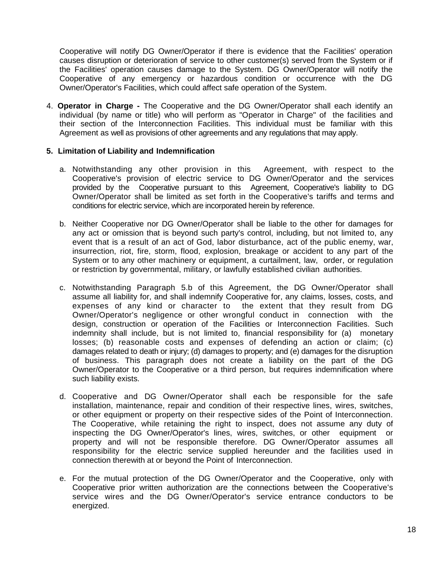Cooperative will notify DG Owner/Operator if there is evidence that the Facilities' operation causes disruption or deterioration of service to other customer(s) served from the System or if the Facilities' operation causes damage to the System. DG Owner/Operator will notify the Cooperative of any emergency or hazardous condition or occurrence with the DG Owner/Operator's Facilities, which could affect safe operation of the System.

4. **Operator in Charge -** The Cooperative and the DG Owner/Operator shall each identify an individual (by name or title) who will perform as "Operator in Charge" of the facilities and their section of the Interconnection Facilities. This individual must be familiar with this Agreement as well as provisions of other agreements and any regulations that may apply.

# **5. Limitation of Liability and Indemnification**

- a. Notwithstanding any other provision in this Agreement, with respect to the Cooperative's provision of electric service to DG Owner/Operator and the services provided by the Cooperative pursuant to this Agreement, Cooperative's liability to DG Owner/Operator shall be limited as set forth in the Cooperative's tariffs and terms and conditions for electric service, which are incorporated herein by reference.
- b. Neither Cooperative nor DG Owner/Operator shall be liable to the other for damages for any act or omission that is beyond such party's control, including, but not limited to, any event that is a result of an act of God, labor disturbance, act of the public enemy, war, insurrection, riot, fire, storm, flood, explosion, breakage or accident to any part of the System or to any other machinery or equipment, a curtailment, law, order, or regulation or restriction by governmental, military, or lawfully established civilian authorities.
- c. Notwithstanding Paragraph 5.b of this Agreement, the DG Owner/Operator shall assume all liability for, and shall indemnify Cooperative for, any claims, losses, costs, and expenses of any kind or character to the extent that they result from DG Owner/Operator's negligence or other wrongful conduct in connection with the design, construction or operation of the Facilities or Interconnection Facilities. Such indemnity shall include, but is not limited to, financial responsibility for (a) monetary losses; (b) reasonable costs and expenses of defending an action or claim; (c) damages related to death or injury; (d) damages to property; and (e) damages for the disruption of business. This paragraph does not create a liability on the part of the DG Owner/Operator to the Cooperative or a third person, but requires indemnification where such liability exists.
- d. Cooperative and DG Owner/Operator shall each be responsible for the safe installation, maintenance, repair and condition of their respective lines, wires, switches, or other equipment or property on their respective sides of the Point of Interconnection. The Cooperative, while retaining the right to inspect, does not assume any duty of inspecting the DG Owner/Operator's lines, wires, switches, or other equipment or property and will not be responsible therefore. DG Owner/Operator assumes all responsibility for the electric service supplied hereunder and the facilities used in connection therewith at or beyond the Point of Interconnection.
- e. For the mutual protection of the DG Owner/Operator and the Cooperative, only with Cooperative prior written authorization are the connections between the Cooperative's service wires and the DG Owner/Operator's service entrance conductors to be energized.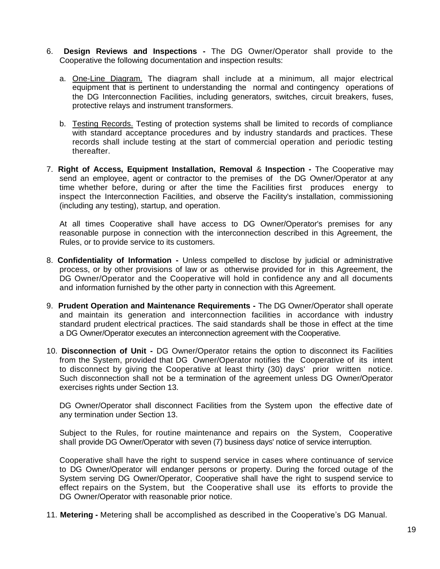- 6. **Design Reviews and Inspections -** The DG Owner/Operator shall provide to the Cooperative the following documentation and inspection results:
	- a. One-Line Diagram. The diagram shall include at a minimum, all major electrical equipment that is pertinent to understanding the normal and contingency operations of the DG Interconnection Facilities, including generators, switches, circuit breakers, fuses, protective relays and instrument transformers.
	- b. Testing Records. Testing of protection systems shall be limited to records of compliance with standard acceptance procedures and by industry standards and practices. These records shall include testing at the start of commercial operation and periodic testing thereafter.
- 7. **Right of Access, Equipment Installation, Removal** & **Inspection -** The Cooperative may send an employee, agent or contractor to the premises of the DG Owner/Operator at any time whether before, during or after the time the Facilities first produces energy to inspect the Interconnection Facilities, and observe the Facility's installation, commissioning (including any testing), startup, and operation.

At all times Cooperative shall have access to DG Owner/Operator's premises for any reasonable purpose in connection with the interconnection described in this Agreement, the Rules, or to provide service to its customers.

- 8. **Confidentiality of Information -** Unless compelled to disclose by judicial or administrative process, or by other provisions of law or as otherwise provided for in this Agreement, the DG Owner/Operator and the Cooperative will hold in confidence any and all documents and information furnished by the other party in connection with this Agreement.
- 9. **Prudent Operation and Maintenance Requirements -** The DG Owner/Operator shall operate and maintain its generation and interconnection facilities in accordance with industry standard prudent electrical practices. The said standards shall be those in effect at the time a DG Owner/Operator executes an interconnection agreement with the Cooperative.
- 10. **Disconnection of Unit -** DG Owner/Operator retains the option to disconnect its Facilities from the System, provided that DG Owner/Operator notifies the Cooperative of its intent to disconnect by giving the Cooperative at least thirty (30) days' prior written notice. Such disconnection shall not be a termination of the agreement unless DG Owner/Operator exercises rights under Section 13.

DG Owner/Operator shall disconnect Facilities from the System upon the effective date of any termination under Section 13.

Subject to the Rules, for routine maintenance and repairs on the System, Cooperative shall provide DG Owner/Operator with seven (7) business days' notice of service interruption.

Cooperative shall have the right to suspend service in cases where continuance of service to DG Owner/Operator will endanger persons or property. During the forced outage of the System serving DG Owner/Operator, Cooperative shall have the right to suspend service to effect repairs on the System, but the Cooperative shall use its efforts to provide the DG Owner/Operator with reasonable prior notice.

11. **Metering -** Metering shall be accomplished as described in the Cooperative's DG Manual.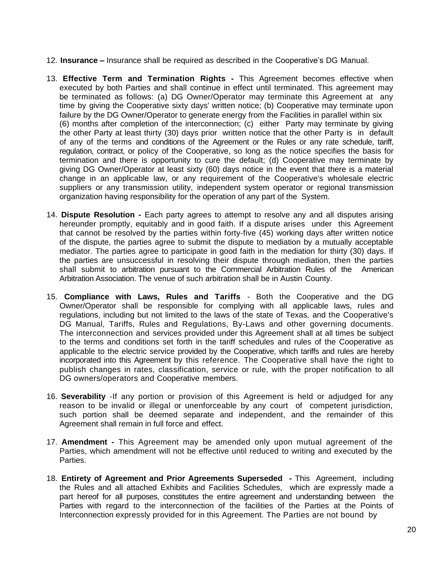- 12. **Insurance –** Insurance shall be required as described in the Cooperative's DG Manual.
- 13. **Effective Term and Termination Rights -** This Agreement becomes effective when executed by both Parties and shall continue in effect until terminated. This agreement may be terminated as follows: (a) DG Owner/Operator may terminate this Agreement at any time by giving the Cooperative sixty days' written notice; (b) Cooperative may terminate upon failure by the DG Owner/Operator to generate energy from the Facilities in parallel within six (6) months after completion of the interconnection; (c) either Party may terminate by giving the other Party at least thirty (30) days prior written notice that the other Party is in default of any of the terms and conditions of the Agreement or the Rules or any rate schedule, tariff, regulation, contract, or policy of the Cooperative, so long as the notice specifies the basis for termination and there is opportunity to cure the default; (d) Cooperative may terminate by giving DG Owner/Operator at least sixty (60) days notice in the event that there is a material change in an applicable law, or any requirement of the Cooperative's wholesale electric suppliers or any transmission utility, independent system operator or regional transmission organization having responsibility for the operation of any part of the System.
- 14. **Dispute Resolution -** Each party agrees to attempt to resolve any and all disputes arising hereunder promptly, equitably and in good faith. If a dispute arises under this Agreement that cannot be resolved by the parties within forty-five (45) working days after written notice of the dispute, the parties agree to submit the dispute to mediation by a mutually acceptable mediator. The parties agree to participate in good faith in the mediation for thirty (30) days. If the parties are unsuccessful in resolving their dispute through mediation, then the parties shall submit to arbitration pursuant to the Commercial Arbitration Rules of the American Arbitration Association. The venue of such arbitration shall be in Austin County.
- 15. **Compliance with Laws, Rules and Tariffs**  Both the Cooperative and the DG Owner/Operator shall be responsible for complying with all applicable laws, rules and regulations, including but not limited to the laws of the state of Texas, and the Cooperative's DG Manual, Tariffs, Rules and Regulations, By-Laws and other governing documents. The interconnection and services provided under this Agreement shall at all times be subject to the terms and conditions set forth in the tariff schedules and rules of the Cooperative as applicable to the electric service provided by the Cooperative, which tariffs and rules are hereby incorporated into this Agreement by this reference. The Cooperative shall have the right to publish changes in rates, classification, service or rule, with the proper notification to all DG owners/operators and Cooperative members.
- 16. **Severability** -If any portion or provision of this Agreement is held or adjudged for any reason to be invalid or illegal or unenforceable by any court of competent jurisdiction, such portion shall be deemed separate and independent, and the remainder of this Agreement shall remain in full force and effect.
- 17. **Amendment -** This Agreement may be amended only upon mutual agreement of the Parties, which amendment will not be effective until reduced to writing and executed by the Parties.
- 18. **Entirety of Agreement and Prior Agreements Superseded -** This Agreement, including the Rules and all attached Exhibits and Facilities Schedules, which are expressly made a part hereof for all purposes, constitutes the entire agreement and understanding between the Parties with regard to the interconnection of the facilities of the Parties at the Points of Interconnection expressly provided for in this Agreement. The Parties are not bound by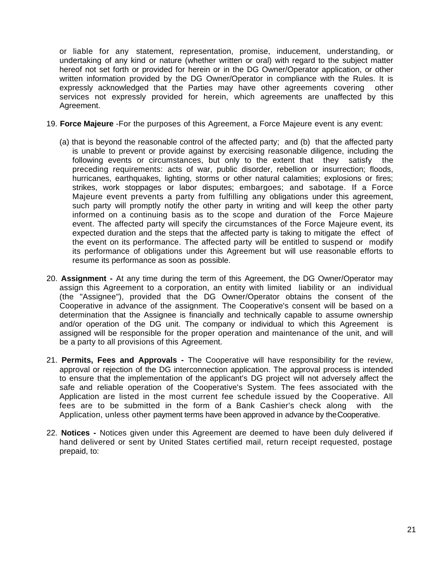or liable for any statement, representation, promise, inducement, understanding, or undertaking of any kind or nature (whether written or oral) with regard to the subject matter hereof not set forth or provided for herein or in the DG Owner/Operator application, or other written information provided by the DG Owner/Operator in compliance with the Rules. It is expressly acknowledged that the Parties may have other agreements covering other services not expressly provided for herein, which agreements are unaffected by this Agreement.

- 19. **Force Majeure** -For the purposes of this Agreement, a Force Majeure event is any event:
	- (a) that is beyond the reasonable control of the affected party; and (b) that the affected party is unable to prevent or provide against by exercising reasonable diligence, including the following events or circumstances, but only to the extent that they satisfy the preceding requirements: acts of war, public disorder, rebellion or insurrection; floods, hurricanes, earthquakes, lighting, storms or other natural calamities; explosions or fires; strikes, work stoppages or labor disputes; embargoes; and sabotage. If a Force Majeure event prevents a party from fulfilling any obligations under this agreement, such party will promptly notify the other party in writing and will keep the other party informed on a continuing basis as to the scope and duration of the Force Majeure event. The affected party will specify the circumstances of the Force Majeure event, its expected duration and the steps that the affected party is taking to mitigate the effect of the event on its performance. The affected party will be entitled to suspend or modify its performance of obligations under this Agreement but will use reasonable efforts to resume its performance as soon as possible.
- 20. **Assignment -** At any time during the term of this Agreement, the DG Owner/Operator may assign this Agreement to a corporation, an entity with limited liability or an individual (the "Assignee"), provided that the DG Owner/Operator obtains the consent of the Cooperative in advance of the assignment. The Cooperative's consent will be based on a determination that the Assignee is financially and technically capable to assume ownership and/or operation of the DG unit. The company or individual to which this Agreement is assigned will be responsible for the proper operation and maintenance of the unit, and will be a party to all provisions of this Agreement.
- 21. **Permits, Fees and Approvals -** The Cooperative will have responsibility for the review, approval or rejection of the DG interconnection application. The approval process is intended to ensure that the implementation of the applicant's DG project will not adversely affect the safe and reliable operation of the Cooperative's System. The fees associated with the Application are listed in the most current fee schedule issued by the Cooperative. All fees are to be submitted in the form of a Bank Cashier's check along with the Application, unless other payment terms have been approved in advance by theCooperative.
- 22. **Notices -** Notices given under this Agreement are deemed to have been duly delivered if hand delivered or sent by United States certified mail, return receipt requested, postage prepaid, to: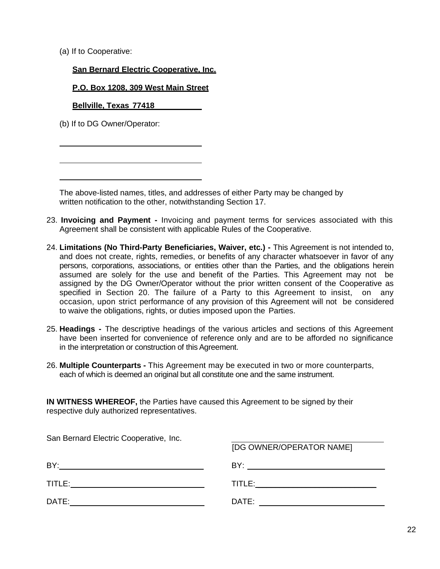(a) If to Cooperative:

# **San Bernard Electric Cooperative, Inc.**

### **P.O. Box 1208, 309 West Main Street**

**Bellville, Texas 77418**

(b) If to DG Owner/Operator:

The above-listed names, titles, and addresses of either Party may be changed by written notification to the other, notwithstanding Section 17.

- 23. **Invoicing and Payment -** Invoicing and payment terms for services associated with this Agreement shall be consistent with applicable Rules of the Cooperative.
- 24. **Limitations (No Third-Party Beneficiaries, Waiver, etc.) -** This Agreement is not intended to, and does not create, rights, remedies, or benefits of any character whatsoever in favor of any persons, corporations, associations, or entities other than the Parties, and the obligations herein assumed are solely for the use and benefit of the Parties. This Agreement may not be assigned by the DG Owner/Operator without the prior written consent of the Cooperative as specified in Section 20. The failure of a Party to this Agreement to insist, on any occasion, upon strict performance of any provision of this Agreement will not be considered to waive the obligations, rights, or duties imposed upon the Parties.
- 25. **Headings -** The descriptive headings of the various articles and sections of this Agreement have been inserted for convenience of reference only and are to be afforded no significance in the interpretation or construction of this Agreement.
- 26. **Multiple Counterparts -** This Agreement may be executed in two or more counterparts, each of which is deemed an original but all constitute one and the same instrument.

**IN WITNESS WHEREOF,** the Parties have caused this Agreement to be signed by their respective duly authorized representatives.

| San Bernard Electric Cooperative, Inc.                                                                                                                                                                                         |                                                                                                                                                                                                                                |
|--------------------------------------------------------------------------------------------------------------------------------------------------------------------------------------------------------------------------------|--------------------------------------------------------------------------------------------------------------------------------------------------------------------------------------------------------------------------------|
|                                                                                                                                                                                                                                | [DG OWNER/OPERATOR NAME]                                                                                                                                                                                                       |
|                                                                                                                                                                                                                                |                                                                                                                                                                                                                                |
| TITLE:                                                                                                                                                                                                                         | TITLE:                                                                                                                                                                                                                         |
| DATE: the contract of the contract of the contract of the contract of the contract of the contract of the contract of the contract of the contract of the contract of the contract of the contract of the contract of the cont | DATE: the contract of the contract of the contract of the contract of the contract of the contract of the contract of the contract of the contract of the contract of the contract of the contract of the contract of the cont |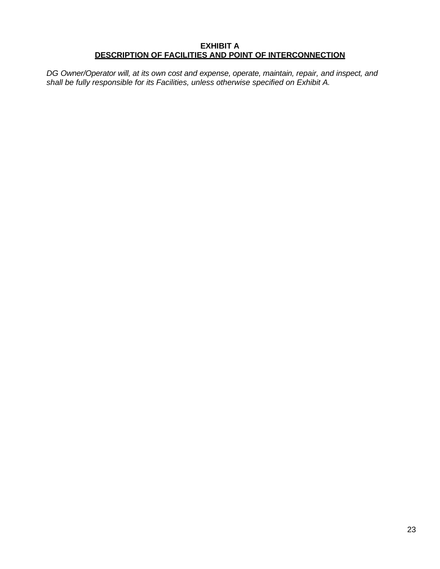### **EXHIBIT A DESCRIPTION OF FACILITIES AND POINT OF INTERCONNECTION**

*DG Owner/Operator will, at its own cost and expense, operate, maintain, repair, and inspect, and shall be fully responsible for its Facilities, unless otherwise specified on Exhibit A.*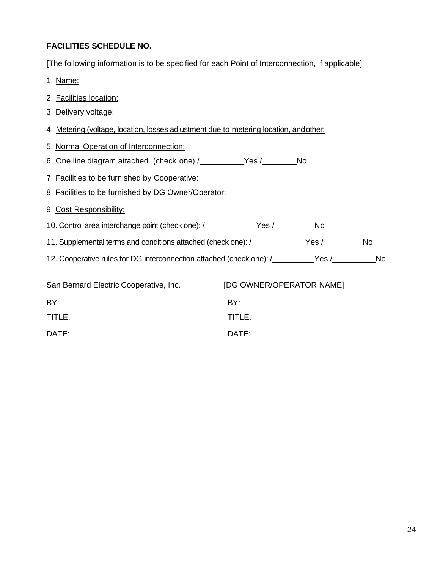# **FACILITIES SCHEDULE NO.**

[The following information is to be specified for each Point of Interconnection, if applicable]

- 1. Name:
- 2. Facilities location:
- 3. Delivery voltage:
- 4. Metering (voltage, location, losses adjustment due to metering location, andother:
- 5. Normal Operation of Interconnection:
- 6. One line diagram attached (check one):/\_\_\_\_\_\_\_\_\_Yes /\_\_\_\_\_\_\_No
- 7. Facilities to be furnished by Cooperative:
- 8. Facilities to be furnished by DG Owner/Operator:
- 9. Cost Responsibility:
- 10. Control area interchange point (check one): /\_\_\_\_\_\_\_\_\_\_\_Yes /\_\_\_\_\_\_\_\_\_\_No
- 11. Supplemental terms and conditions attached (check one): /\_\_\_\_\_\_\_\_\_\_\_\_\_Yes /\_\_\_\_\_\_\_\_\_\_No
- 12. Cooperative rules for DG interconnection attached (check one): /\_\_\_\_\_\_\_\_Yes /\_\_\_\_\_\_\_\_\_No

| San Bernard Electric Cooperative, Inc. | [DG OWNER/OPERATOR NAME] |  |  |
|----------------------------------------|--------------------------|--|--|
| BY:                                    | BY:                      |  |  |
| TITLE:                                 | TITLE:                   |  |  |
| DATE:                                  | DATE:                    |  |  |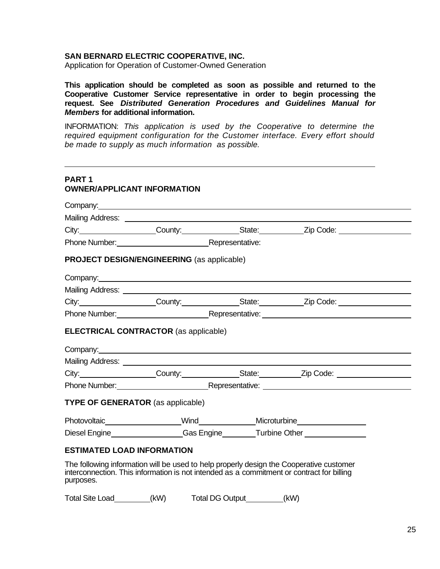#### **SAN BERNARD ELECTRIC COOPERATIVE, INC.**

Application for Operation of Customer-Owned Generation

**This application should be completed as soon as possible and returned to the Cooperative Customer Service representative in order to begin processing the request. See** *Distributed Generation Procedures and Guidelines Manual for Members* **for additional information.**

INFORMATION: *This application is used by the Cooperative to determine the required equipment configuration for the Customer interface. Every effort should be made to supply as much information as possible.*

# **PART 1 OWNER/APPLICANT INFORMATION**

|                                   | Company: example of the company of the company of the company of the company of the company of the company of the company of the company of the company of the company of the company of the company of the company of the com |                                                                                                                                                                                                                                     |
|-----------------------------------|--------------------------------------------------------------------------------------------------------------------------------------------------------------------------------------------------------------------------------|-------------------------------------------------------------------------------------------------------------------------------------------------------------------------------------------------------------------------------------|
|                                   |                                                                                                                                                                                                                                |                                                                                                                                                                                                                                     |
|                                   |                                                                                                                                                                                                                                | City: City: County: County: County: City: City: Code: City:                                                                                                                                                                         |
|                                   | Phone Number: Representative:                                                                                                                                                                                                  |                                                                                                                                                                                                                                     |
|                                   | <b>PROJECT DESIGN/ENGINEERING (as applicable)</b>                                                                                                                                                                              |                                                                                                                                                                                                                                     |
|                                   | Company: <u>company:</u>                                                                                                                                                                                                       |                                                                                                                                                                                                                                     |
|                                   |                                                                                                                                                                                                                                |                                                                                                                                                                                                                                     |
|                                   |                                                                                                                                                                                                                                | City: City: County: County: State: Zip Code: City:                                                                                                                                                                                  |
|                                   |                                                                                                                                                                                                                                | Phone Number: <u>Nepresentative:</u> Nepresentative: Nepresentative: Nepresentative: Nepresentative: Nepresentative: Nepresentative: Nepresentative: Nepresentative: Nepresentative: Nepresentative: Nepresentative: Nepresentative |
|                                   | <b>ELECTRICAL CONTRACTOR (as applicable)</b><br>Company: <u>company:</u> company:                                                                                                                                              |                                                                                                                                                                                                                                     |
|                                   |                                                                                                                                                                                                                                | City: City: County: County: County: City: City: Code: City:                                                                                                                                                                         |
|                                   |                                                                                                                                                                                                                                | Phone Number: <u>National Accordination</u> Representative: National Accordination of the Number of Accordination of the Representative:                                                                                            |
|                                   | <b>TYPE OF GENERATOR</b> (as applicable)                                                                                                                                                                                       |                                                                                                                                                                                                                                     |
|                                   |                                                                                                                                                                                                                                |                                                                                                                                                                                                                                     |
|                                   | Diesel Engine___________________Gas Engine________Turbine Other ________________                                                                                                                                               |                                                                                                                                                                                                                                     |
| <b>ESTIMATED LOAD INFORMATION</b> |                                                                                                                                                                                                                                |                                                                                                                                                                                                                                     |
| purposes.                         | The following information will be used to help properly design the Cooperative customer<br>interconnection. This information is not intended as a commitment or contract for billing                                           |                                                                                                                                                                                                                                     |

Total Site Load (kW) Total DG Output (kW)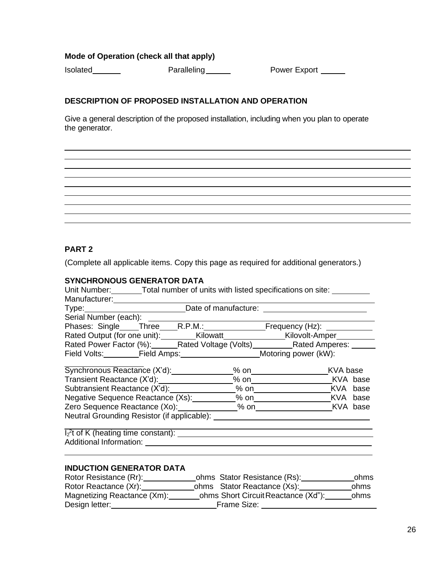# **Mode of Operation (check all that apply)**

Isolated **Paralleling** Paralleling **Power Export** 

# **DESCRIPTION OF PROPOSED INSTALLATION AND OPERATION**

Give a general description of the proposed installation, including when you plan to operate the generator.

# **PART 2**

(Complete all applicable items. Copy this page as required for additional generators.)

# **SYNCHRONOUS GENERATOR DATA**

| Unit Number: Total number of units with listed specifications on site:      |  |               |  |
|-----------------------------------------------------------------------------|--|---------------|--|
|                                                                             |  |               |  |
|                                                                             |  |               |  |
| Serial Number (each): ______________                                        |  |               |  |
| Phases: Single Three R.P.M.: Frequency (Hz):                                |  |               |  |
| Rated Output (for one unit): Kilowatt Kilowatt Kilovolt-Amper               |  |               |  |
| Rated Power Factor (%): Rated Voltage (Volts) Rated Amperes: _____          |  |               |  |
| Field Volts: Field Amps: Motoring power (kW):                               |  |               |  |
| Synchronous Reactance (X'd):                                                |  |               |  |
|                                                                             |  | % on KVA base |  |
|                                                                             |  |               |  |
| Negative Sequence Reactance (Xs): 6. [6] % on [16] XVA base                 |  |               |  |
|                                                                             |  |               |  |
|                                                                             |  |               |  |
| $\overline{I_2}$ <sup>2</sup> t of K (heating time constant): $\frac{1}{2}$ |  |               |  |
|                                                                             |  |               |  |
| <b>INDUCTION GENERATOR DATA</b>                                             |  |               |  |

| Rotor Resistance (Rr):      | ohms Stator Resistance (Rs):        | ohms |
|-----------------------------|-------------------------------------|------|
| Rotor Reactance (Xr):       | ohms Stator Reactance (Xs):         | ohms |
| Magnetizing Reactance (Xm): | ohms Short Circuit Reactance (Xd"): | ohms |
| Design letter:              | Frame Size:                         |      |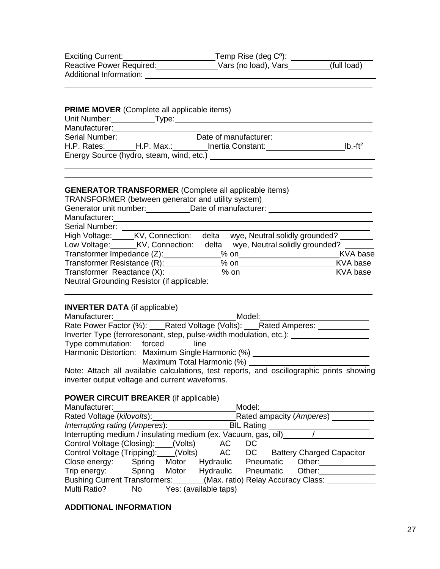| <b>Exciting Current:</b> | Temp Rise (deg $C^{\circ}$ ): |             |
|--------------------------|-------------------------------|-------------|
| Reactive Power Required: | Vars (no load), Vars          | (full load) |
| Additional Information:  |                               |             |

| Unit Number:                             | Type: |                       |           |
|------------------------------------------|-------|-----------------------|-----------|
| Manufacturer:                            |       |                       |           |
| Serial Number:                           |       | Date of manufacturer: |           |
| H.P. Rates: H.P. Max.:                   |       | Inertia Constant:     | $Ib.-ft2$ |
| Energy Source (hydro, steam, wind, etc.) |       |                       |           |

# **GENERATOR TRANSFORMER** (Complete all applicable items)

| TRANSFORMER (between generator and utility system) |  |  |  |
|----------------------------------------------------|--|--|--|
|----------------------------------------------------|--|--|--|

| Generator unit number:                     | Date of manufacturer:                   |          |
|--------------------------------------------|-----------------------------------------|----------|
| Manufacturer:                              |                                         |          |
| Serial Number:                             |                                         |          |
| High Voltage:<br>KV, Connection:           | wye, Neutral solidly grounded?<br>delta |          |
| Low Voltage:<br>KV, Connection:            | wye, Neutral solidly grounded?<br>delta |          |
| Transformer Impedance (Z):                 | $%$ on                                  | KVA base |
| Transformer Resistance (R):                | $%$ on                                  | KVA base |
| Transformer Reactance (X):                 | $%$ on                                  | KVA base |
| Neutral Grounding Resistor (if applicable: |                                         |          |

# **INVERTER DATA** (if applicable)

| Manufacturer: www.community.com/ | Model:                                                                               |
|----------------------------------|--------------------------------------------------------------------------------------|
|                                  | Rate Power Factor (%): ____Rated Voltage (Volts): ____Rated Amperes: __              |
|                                  | Inverter Type (ferroresonant, step, pulse-width modulation, etc.):                   |
| Type commutation: forced         | line                                                                                 |
|                                  | Harmonic Distortion: Maximum Single Harmonic (%)                                     |
|                                  | Maximum Total Harmonic (%)                                                           |
|                                  | Neto: Attack all ovailable esteritates test reports, and secilles propietate desvine |

Note: Attach all available calculations, test reports, and oscillographic prints showing inverter output voltage and current waveforms.

# **POWER CIRCUIT BREAKER** (if applicable)

| Manufacturer:                                                    |        |       |                       | Model:            |                                  |
|------------------------------------------------------------------|--------|-------|-----------------------|-------------------|----------------------------------|
| Rated Voltage (kilovolts):                                       |        |       |                       |                   | Rated ampacity (Amperes)         |
| Interrupting rating (Amperes):                                   |        |       |                       | <b>BIL Rating</b> |                                  |
| Interrupting medium / insulating medium (ex. Vacuum, gas, oil)   |        |       |                       |                   |                                  |
| Control Voltage (Closing): ____(Volts)                           |        |       | АC                    | DC                |                                  |
| Control Voltage (Tripping): (Volts)                              |        |       |                       | AC DC             | <b>Battery Charged Capacitor</b> |
| Close energy:                                                    | Spring | Motor | Hydraulic Pneumatic   |                   | Other:                           |
| Trip energy:                                                     | Spring |       | Motor Hydraulic       | Pneumatic         | Other:                           |
| Bushing Current Transformers: (Max. ratio) Relay Accuracy Class: |        |       |                       |                   |                                  |
| Multi Ratio?                                                     | No     |       | Yes: (available taps) |                   |                                  |

# **ADDITIONAL INFORMATION**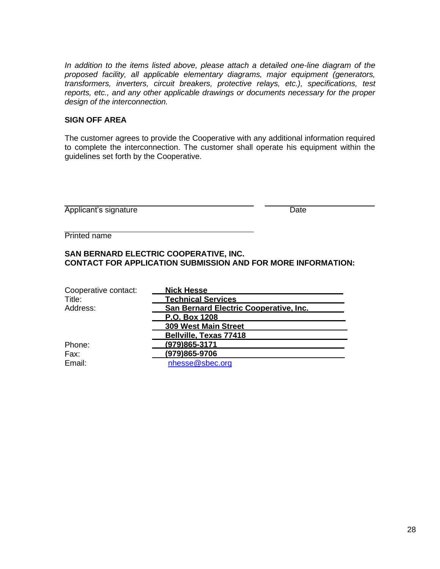*In addition to the items listed above, please attach a detailed one-line diagram of the proposed facility, all applicable elementary diagrams, major equipment (generators, transformers, inverters, circuit breakers, protective relays, etc.), specifications, test reports, etc., and any other applicable drawings or documents necessary for the proper design of the interconnection.*

#### **SIGN OFF AREA**

The customer agrees to provide the Cooperative with any additional information required to complete the interconnection. The customer shall operate his equipment within the guidelines set forth by the Cooperative.

| Applicant's signature | Date |
|-----------------------|------|
|                       |      |

Printed name

# **SAN BERNARD ELECTRIC COOPERATIVE, INC. CONTACT FOR APPLICATION SUBMISSION AND FOR MORE INFORMATION:**

| Cooperative contact: | <b>Nick Hesse</b>                      |
|----------------------|----------------------------------------|
| Title:               | <b>Technical Services</b>              |
| Address:             | San Bernard Electric Cooperative, Inc. |
|                      | P.O. Box 1208                          |
|                      | <b>309 West Main Street</b>            |
|                      | Bellville, Texas 77418                 |
| Phone:               | (979)865-3171                          |
| Fax:                 | (979)865-9706                          |
| Email:               | nhesse@sbec.org                        |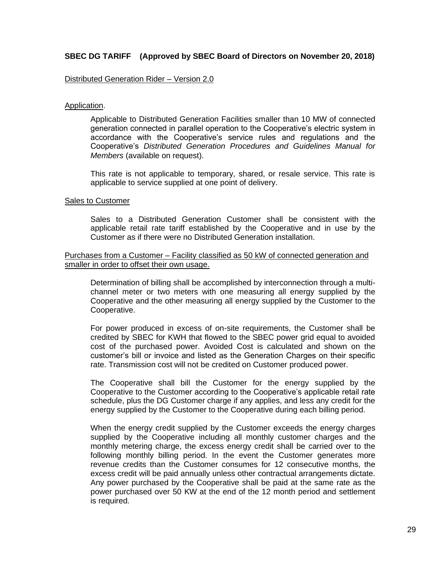# **SBEC DG TARIFF (Approved by SBEC Board of Directors on November 20, 2018)**

#### Distributed Generation Rider – Version 2.0

#### Application.

Applicable to Distributed Generation Facilities smaller than 10 MW of connected generation connected in parallel operation to the Cooperative's electric system in accordance with the Cooperative's service rules and regulations and the Cooperative's *Distributed Generation Procedures and Guidelines Manual for Members* (available on request).

This rate is not applicable to temporary, shared, or resale service. This rate is applicable to service supplied at one point of delivery.

#### Sales to Customer

Sales to a Distributed Generation Customer shall be consistent with the applicable retail rate tariff established by the Cooperative and in use by the Customer as if there were no Distributed Generation installation.

#### Purchases from a Customer – Facility classified as 50 kW of connected generation and smaller in order to offset their own usage.

Determination of billing shall be accomplished by interconnection through a multichannel meter or two meters with one measuring all energy supplied by the Cooperative and the other measuring all energy supplied by the Customer to the Cooperative.

For power produced in excess of on-site requirements, the Customer shall be credited by SBEC for KWH that flowed to the SBEC power grid equal to avoided cost of the purchased power. Avoided Cost is calculated and shown on the customer's bill or invoice and listed as the Generation Charges on their specific rate. Transmission cost will not be credited on Customer produced power.

The Cooperative shall bill the Customer for the energy supplied by the Cooperative to the Customer according to the Cooperative's applicable retail rate schedule, plus the DG Customer charge if any applies, and less any credit for the energy supplied by the Customer to the Cooperative during each billing period.

When the energy credit supplied by the Customer exceeds the energy charges supplied by the Cooperative including all monthly customer charges and the monthly metering charge, the excess energy credit shall be carried over to the following monthly billing period. In the event the Customer generates more revenue credits than the Customer consumes for 12 consecutive months, the excess credit will be paid annually unless other contractual arrangements dictate. Any power purchased by the Cooperative shall be paid at the same rate as the power purchased over 50 KW at the end of the 12 month period and settlement is required.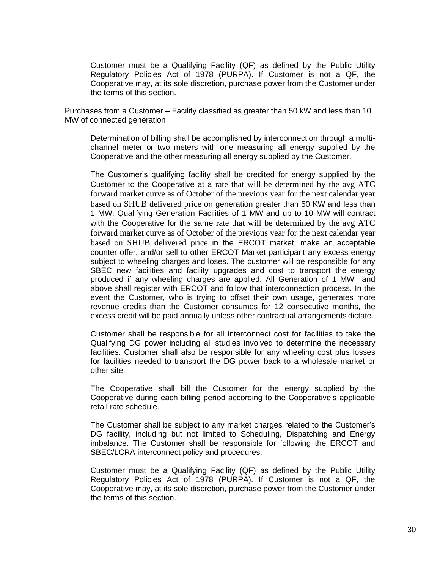Customer must be a Qualifying Facility (QF) as defined by the Public Utility Regulatory Policies Act of 1978 (PURPA). If Customer is not a QF, the Cooperative may, at its sole discretion, purchase power from the Customer under the terms of this section.

#### Purchases from a Customer – Facility classified as greater than 50 kW and less than 10 MW of connected generation

Determination of billing shall be accomplished by interconnection through a multichannel meter or two meters with one measuring all energy supplied by the Cooperative and the other measuring all energy supplied by the Customer.

The Customer's qualifying facility shall be credited for energy supplied by the Customer to the Cooperative at a rate that will be determined by the avg ATC forward market curve as of October of the previous year for the next calendar year based on SHUB delivered price on generation greater than 50 KW and less than 1 MW. Qualifying Generation Facilities of 1 MW and up to 10 MW will contract with the Cooperative for the same rate that will be determined by the avg ATC forward market curve as of October of the previous year for the next calendar year based on SHUB delivered price in the ERCOT market, make an acceptable counter offer, and/or sell to other ERCOT Market participant any excess energy subject to wheeling charges and loses. The customer will be responsible for any SBEC new facilities and facility upgrades and cost to transport the energy produced if any wheeling charges are applied. All Generation of 1 MW and above shall register with ERCOT and follow that interconnection process. In the event the Customer, who is trying to offset their own usage, generates more revenue credits than the Customer consumes for 12 consecutive months, the excess credit will be paid annually unless other contractual arrangements dictate.

Customer shall be responsible for all interconnect cost for facilities to take the Qualifying DG power including all studies involved to determine the necessary facilities. Customer shall also be responsible for any wheeling cost plus losses for facilities needed to transport the DG power back to a wholesale market or other site.

The Cooperative shall bill the Customer for the energy supplied by the Cooperative during each billing period according to the Cooperative's applicable retail rate schedule.

The Customer shall be subject to any market charges related to the Customer's DG facility, including but not limited to Scheduling, Dispatching and Energy imbalance. The Customer shall be responsible for following the ERCOT and SBEC/LCRA interconnect policy and procedures.

Customer must be a Qualifying Facility (QF) as defined by the Public Utility Regulatory Policies Act of 1978 (PURPA). If Customer is not a QF, the Cooperative may, at its sole discretion, purchase power from the Customer under the terms of this section.